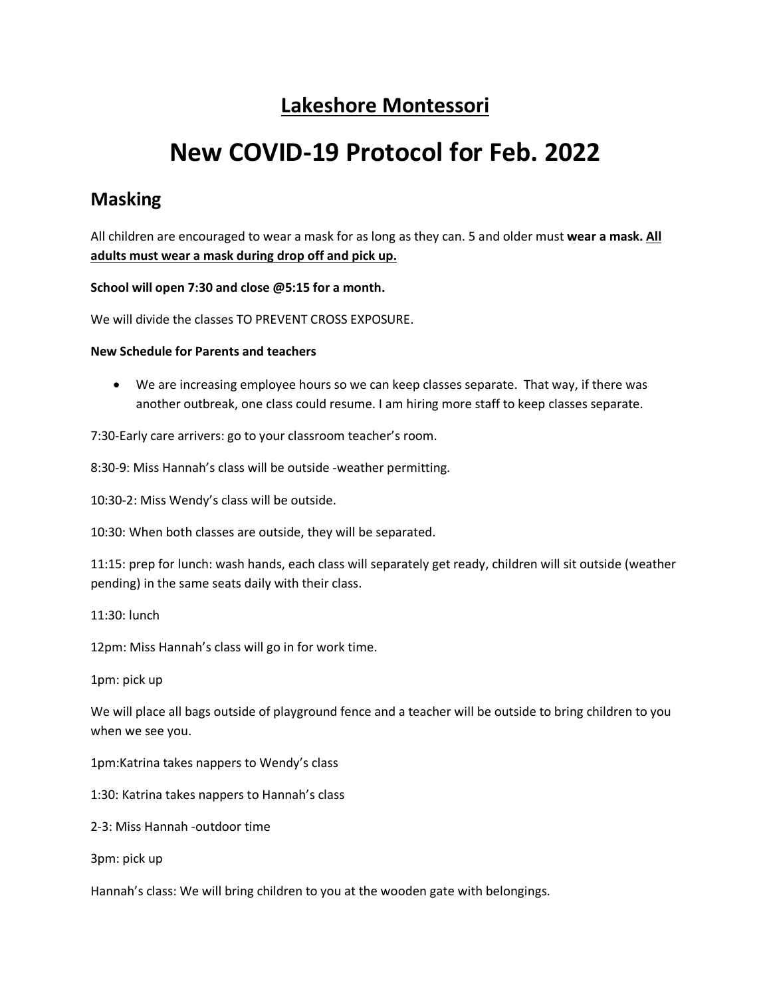# **Lakeshore Montessori**

# **New COVID-19 Protocol for Feb. 2022**

## **Masking**

All children are encouraged to wear a mask for as long as they can. 5 and older must **wear a mask. All adults must wear a mask during drop off and pick up.**

#### **School will open 7:30 and close @5:15 for a month.**

We will divide the classes TO PREVENT CROSS EXPOSURE.

#### **New Schedule for Parents and teachers**

• We are increasing employee hours so we can keep classes separate. That way, if there was another outbreak, one class could resume. I am hiring more staff to keep classes separate.

7:30-Early care arrivers: go to your classroom teacher's room.

8:30-9: Miss Hannah's class will be outside -weather permitting.

10:30-2: Miss Wendy's class will be outside.

10:30: When both classes are outside, they will be separated.

11:15: prep for lunch: wash hands, each class will separately get ready, children will sit outside (weather pending) in the same seats daily with their class.

11:30: lunch

12pm: Miss Hannah's class will go in for work time.

1pm: pick up

We will place all bags outside of playground fence and a teacher will be outside to bring children to you when we see you.

1pm:Katrina takes nappers to Wendy's class

1:30: Katrina takes nappers to Hannah's class

2-3: Miss Hannah -outdoor time

3pm: pick up

Hannah's class: We will bring children to you at the wooden gate with belongings.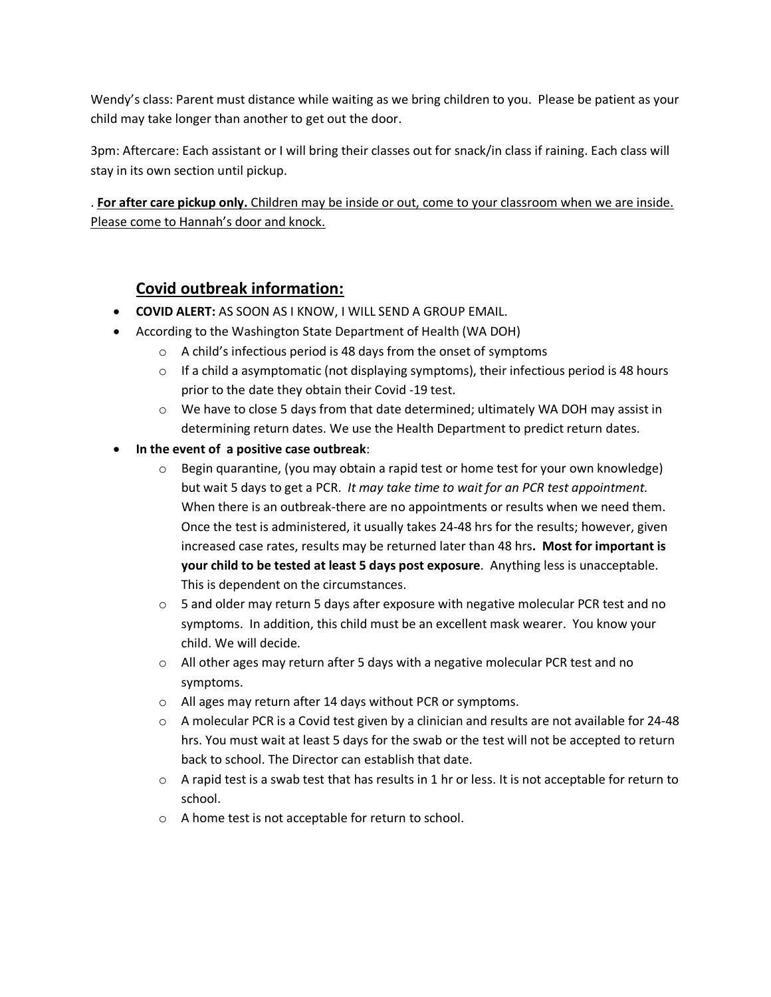Wendy's class: Parent must distance while waiting as we bring children to you. Please be patient as your child may take longer than another to get out the door.

3pm: Aftercare: Each assistant or I will bring their classes out for snack/in class if raining. Each class will stay in its own section until pickup.

. **For after care pickup only.** Children may be inside or out, come to your classroom when we are inside. Please come to Hannah's door and knock.

## **Covid outbreak information:**

- **COVID ALERT:** AS SOON AS I KNOW, I WILL SEND A GROUP EMAIL.
- According to the Washington State Department of Health (WA DOH)
	- $\circ$  A child's infectious period is 48 days from the onset of symptoms
	- $\circ$  If a child a asymptomatic (not displaying symptoms), their infectious period is 48 hours prior to the date they obtain their Covid -19 test.
	- $\circ$  We have to close 5 days from that date determined; ultimately WA DOH may assist in determining return dates. We use the Health Department to predict return dates.
- **In the event of a positive case outbreak**:
	- $\circ$  Begin quarantine, (you may obtain a rapid test or home test for your own knowledge) but wait 5 days to get a PCR. *It may take time to wait for an PCR test appointment.*  When there is an outbreak-there are no appointments or results when we need them. Once the test is administered, it usually takes 24-48 hrs for the results; however, given increased case rates, results may be returned later than 48 hrs**. Most for important is your child to be tested at least 5 days post exposure**. Anything less is unacceptable. This is dependent on the circumstances.
	- $\circ$  5 and older may return 5 days after exposure with negative molecular PCR test and no symptoms. In addition, this child must be an excellent mask wearer. You know your child. We will decide.
	- $\circ$  All other ages may return after 5 days with a negative molecular PCR test and no symptoms.
	- o All ages may return after 14 days without PCR or symptoms.
	- $\circ$  A molecular PCR is a Covid test given by a clinician and results are not available for 24-48 hrs. You must wait at least 5 days for the swab or the test will not be accepted to return back to school. The Director can establish that date.
	- $\circ$  A rapid test is a swab test that has results in 1 hr or less. It is not acceptable for return to school.
	- o A home test is not acceptable for return to school.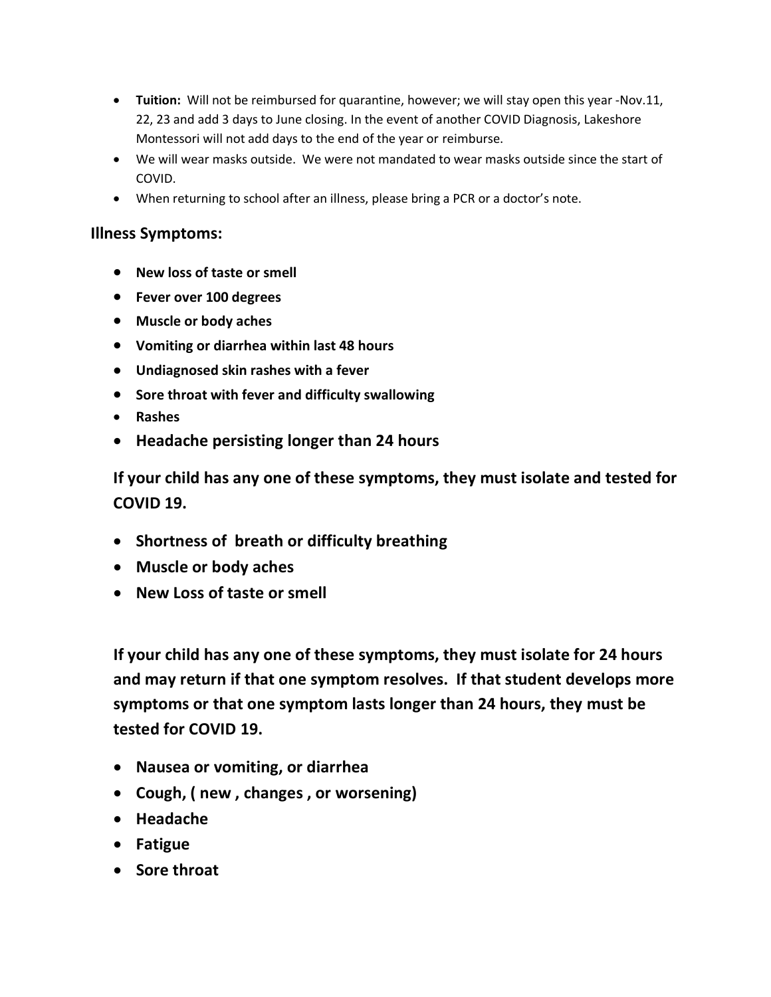- **Tuition:** Will not be reimbursed for quarantine, however; we will stay open this year -Nov.11, 22, 23 and add 3 days to June closing. In the event of another COVID Diagnosis, Lakeshore Montessori will not add days to the end of the year or reimburse.
- We will wear masks outside. We were not mandated to wear masks outside since the start of COVID.
- When returning to school after an illness, please bring a PCR or a doctor's note.

### **Illness Symptoms:**

- **New loss of taste or smell**
- **Fever over 100 degrees**
- **Muscle or body aches**
- **Vomiting or diarrhea within last 48 hours**
- **Undiagnosed skin rashes with a fever**
- **Sore throat with fever and difficulty swallowing**
- **Rashes**
- **Headache persisting longer than 24 hours**

**If your child has any one of these symptoms, they must isolate and tested for COVID 19.**

- **Shortness of breath or difficulty breathing**
- **Muscle or body aches**
- **New Loss of taste or smell**

**If your child has any one of these symptoms, they must isolate for 24 hours and may return if that one symptom resolves. If that student develops more symptoms or that one symptom lasts longer than 24 hours, they must be tested for COVID 19.**

- **Nausea or vomiting, or diarrhea**
- **Cough, ( new , changes , or worsening)**
- **Headache**
- **Fatigue**
- **Sore throat**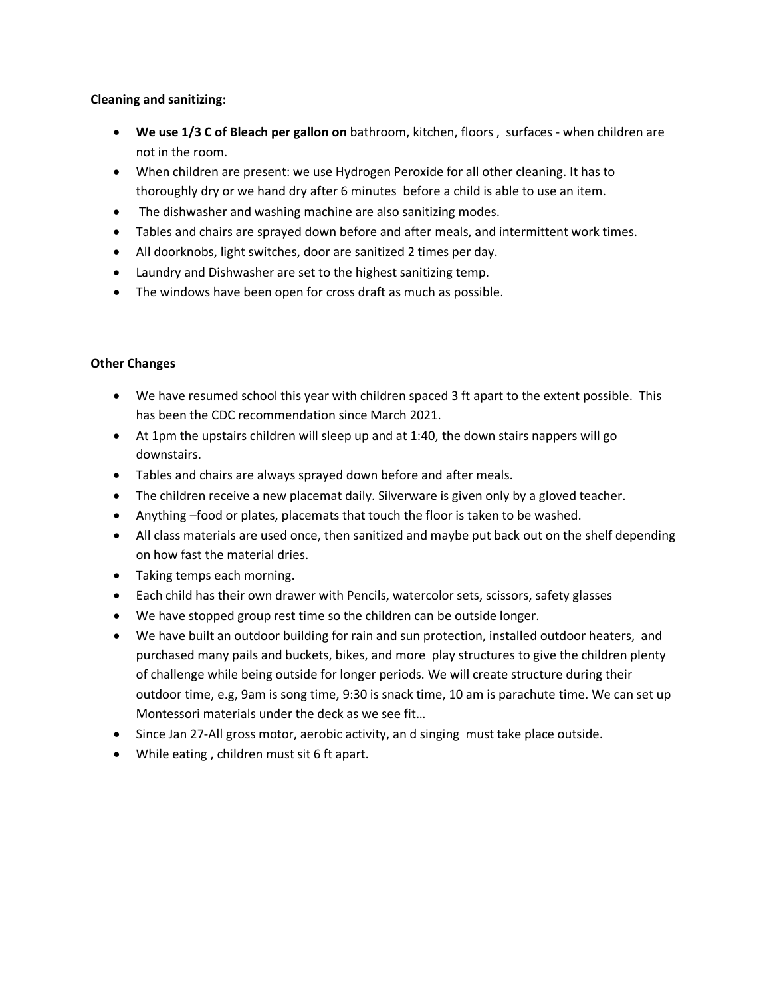#### **Cleaning and sanitizing:**

- **We use 1/3 C of Bleach per gallon on** bathroom, kitchen, floors , surfaces when children are not in the room.
- When children are present: we use Hydrogen Peroxide for all other cleaning. It has to thoroughly dry or we hand dry after 6 minutes before a child is able to use an item.
- The dishwasher and washing machine are also sanitizing modes.
- Tables and chairs are sprayed down before and after meals, and intermittent work times.
- All doorknobs, light switches, door are sanitized 2 times per day.
- Laundry and Dishwasher are set to the highest sanitizing temp.
- The windows have been open for cross draft as much as possible.

#### **Other Changes**

- We have resumed school this year with children spaced 3 ft apart to the extent possible. This has been the CDC recommendation since March 2021.
- At 1pm the upstairs children will sleep up and at 1:40, the down stairs nappers will go downstairs.
- Tables and chairs are always sprayed down before and after meals.
- The children receive a new placemat daily. Silverware is given only by a gloved teacher.
- Anything –food or plates, placemats that touch the floor is taken to be washed.
- All class materials are used once, then sanitized and maybe put back out on the shelf depending on how fast the material dries.
- Taking temps each morning.
- Each child has their own drawer with Pencils, watercolor sets, scissors, safety glasses
- We have stopped group rest time so the children can be outside longer.
- We have built an outdoor building for rain and sun protection, installed outdoor heaters, and purchased many pails and buckets, bikes, and more play structures to give the children plenty of challenge while being outside for longer periods. We will create structure during their outdoor time, e.g, 9am is song time, 9:30 is snack time, 10 am is parachute time. We can set up Montessori materials under the deck as we see fit…
- Since Jan 27-All gross motor, aerobic activity, an d singing must take place outside.
- While eating , children must sit 6 ft apart.